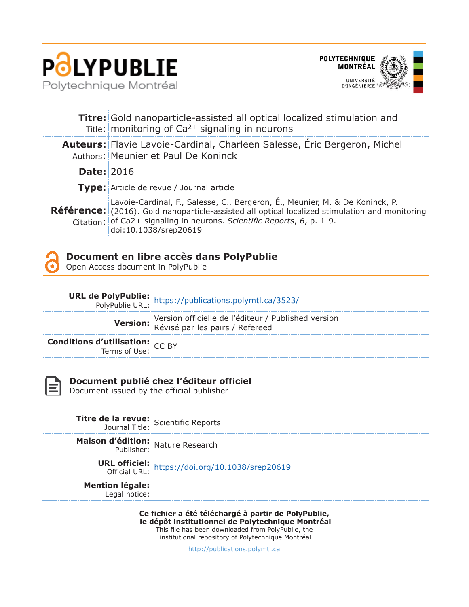

Î.



|                   | <b>Titre:</b> Gold nanoparticle-assisted all optical localized stimulation and<br>Title: monitoring of $Ca^{2+}$ signaling in neurons                                                                                                                                                    |
|-------------------|------------------------------------------------------------------------------------------------------------------------------------------------------------------------------------------------------------------------------------------------------------------------------------------|
|                   | Auteurs: Flavie Lavoie-Cardinal, Charleen Salesse, Eric Bergeron, Michel<br>Authors: Meunier et Paul De Koninck                                                                                                                                                                          |
| <b>Date: 2016</b> |                                                                                                                                                                                                                                                                                          |
|                   | Type: Article de revue / Journal article                                                                                                                                                                                                                                                 |
|                   | Lavoie-Cardinal, F., Salesse, C., Bergeron, É., Meunier, M. & De Koninck, P.<br><b>Référence:</b> (2016). Gold nanoparticle-assisted all optical localized stimulation and monitoring<br>Citation: of Ca2+ signaling in neurons. Scientific Reports, 6, p. 1-9.<br>doi:10.1038/srep20619 |

| . .     |  |
|---------|--|
| --<br>. |  |
|         |  |
|         |  |

### **Document en libre accès dans PolyPublie**

Open Access document in PolyPublie

|                                        | <b>URL de PolyPublie:</b><br>PolyPublie URL: https://publications.polymtl.ca/3523/     |
|----------------------------------------|----------------------------------------------------------------------------------------|
|                                        | Version officielle de l'éditeur / Published version<br>Révisé par les pairs / Refereed |
| <b>Conditions d'utilisation:</b> CC BY |                                                                                        |



#### **Document publié chez l'éditeur officiel**

Document issued by the official publisher

| <b>Titre de la revue:</b> Scientific Reports |                                                                         |
|----------------------------------------------|-------------------------------------------------------------------------|
| Maison d'édition: Nature Research            |                                                                         |
|                                              | <b>URL officiel:</b><br>Official URL: https://doi.org/10.1038/srep20619 |
| <b>Mention légale:</b><br>Legal notice:      |                                                                         |

**Ce fichier a été téléchargé à partir de PolyPublie, le dépôt institutionnel de Polytechnique Montréal** This file has been downloaded from PolyPublie, the

institutional repository of Polytechnique Montréal

http://publications.polymtl.ca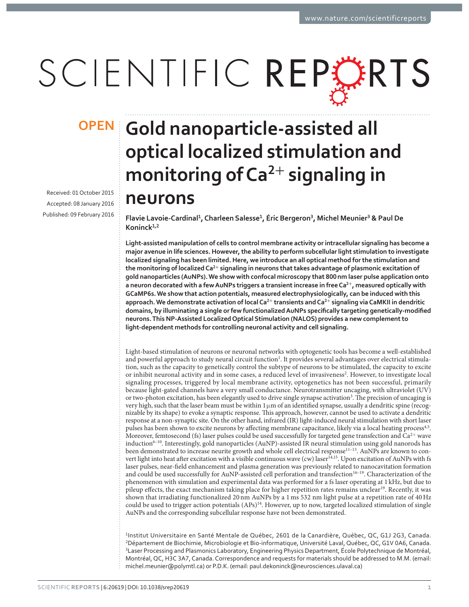# SCIENTIFIC REPORTS

Received: 01 October 2015 Accepted: 08 January 2016 Published: 09 February 2016

## **Gold nanoparticle-assisted all OPENoptical localized stimulation and**  monitoring of Ca<sup>2+</sup> signaling in **neurons**

**Flavie Lavoie-Cardinal<sup>ͷ</sup>, Charleen Salesse<sup>ͷ</sup>, Éric Bergeron, Michel Meunier & Paul De Koninck<sup>ͷ</sup>,**

**Light-assisted manipulation of cells to control membrane activity or intracellular signaling has become a major avenue in life sciences. However, the ability to perform subcellular light stimulation to investigate localized signaling has been limited. Here, we introduce an all optical method for the stimulation and the monitoring of localized Ca<sup>+</sup> signaling in neurons that takes advantage of plasmonic excitation of**  qold nanoparticles (AυNPs). We show with confocal microscopy that 800nm laser pulse application onto **a neuron decorated with a few AuNPs triggers a transient increase in free Ca<sup>+</sup>, measured optically with GCaMP6s. We show that action potentials, measured electrophysiologically, can be induced with this approach. We demonstrate activation of local Ca<sup>+</sup> transients and Ca<sup>+</sup> signaling via CaMKII in dendritic**  domains, by illuminating a single or few functionalized AuNPs specifically targeting genetically-modified **neurons. This NP-Assisted Localized Optical Stimulation (NALOS) provides a new complement to light-dependent methods for controlling neuronal activity and cell signaling.**

Light-based stimulation of neurons or neuronal networks with optogenetic tools has become a well-established and powerful approach to study neural circuit function<sup>1</sup>. It provides several advantages over electrical stimulation, such as the capacity to genetically control the subtype of neurons to be stimulated, the capacity to excite or inhibit neuronal activity and in some cases, a reduced level of invasiveness<sup>2</sup>. However, to investigate local signaling processes, triggered by local membrane activity, optogenetics has not been successful, primarily because light-gated channels have a very small conductance. Neurotransmitter uncaging, with ultraviolet (UV) or two-photon excitation, has been elegantly used to drive single synapse activation<sup>3</sup>. The precision of uncaging is very high, such that the laser beam must be within  $1 \mu m$  of an identified synapse, usually a dendritic spine (recognizable by its shape) to evoke a synaptic response. This approach, however, cannot be used to activate a dendritic response at a non-synaptic site. On the other hand, infrared (IR) light-induced neural stimulation with short laser pulses has been shown to excite neurons by affecting membrane capacitance, likely via a local heating process<sup>4,5</sup>. Moreover, femtosecond (fs) laser pulses could be used successfully for targeted gene transfection and  $Ca^{2+}$  wave induction<sup>6-10</sup>. Interestingly, gold nanoparticles (AuNP)-assisted IR neural stimulation using gold nanorods has been demonstrated to increase neurite growth and whole cell electrical response<sup>11-13</sup>. AuNPs are known to convert light into heat after excitation with a visible continuous wave (cw) laser<sup>14,15</sup>. Upon excitation of AuNPs with fs laser pulses, near-field enhancement and plasma generation was previously related to nanocavitation formation and could be used successfully for AuNP-assisted cell perforation and transfection<sup>16-19</sup>. Characterization of the phenomenon with simulation and experimental data was performed for a fs laser operating at 1 kHz, but due to pileup effects, the exact mechanism taking place for higher repetition rates remains unclear<sup>19</sup>. Recently, it was shown that irradiating functionalized 20 nm AuNPs by a 1 ms 532 nm light pulse at a repetition rate of 40 Hz could be used to trigger action potentials (APs)<sup>14</sup>. However, up to now, targeted localized stimulation of single AuNPs and the corresponding subcellular response have not been demonstrated.

1Institut Universitaire en Santé Mentale de Québec, 2601 de la Canardière, Québec, QC, G1J 2G3, Canada. <sup>2</sup>Département de Biochimie, Microbiologie et Bio-informatique, Université Laval, Québec, QC, G1V 0A6, Canada. Laser Processing and Plasmonics Laboratory, Engineering Physics Department, École Polytechnique de Montréal, Montréal, QC, H3C 3A7, Canada. Correspondence and requests for materials should be addressed to M.M. (email: michel.meunier@polymtl.ca) or P.D.K. (email: paul.dekoninck@neurosciences.ulaval.ca)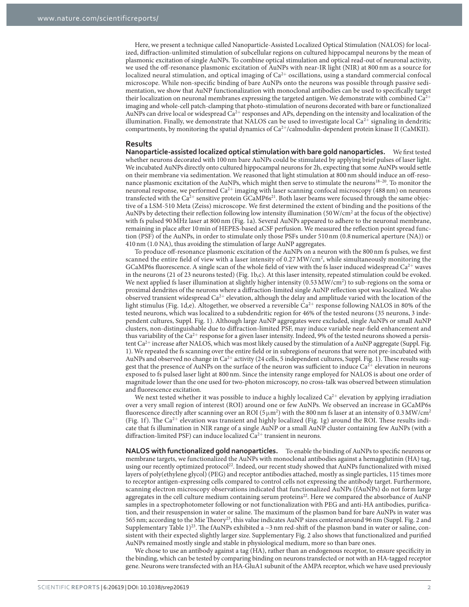Here, we present a technique called Nanoparticle-Assisted Localized Optical Stimulation (NALOS) for localized, diffraction-unlimited stimulation of subcellular regions on cultured hippocampal neurons by the mean of plasmonic excitation of single AuNPs. To combine optical stimulation and optical read-out of neuronal activity, we used the off-resonance plasmonic excitation of AuNPs with near-IR light (NIR) at 800 nm as a source for localized neural stimulation, and optical imaging of Ca<sup>2+</sup> oscillations, using a standard commercial confocal microscope. While non-specific binding of bare AuNPs onto the neurons was possible through passive sedimentation, we show that AuNP functionalization with monoclonal antibodies can be used to specifically target their localization on neuronal membranes expressing the targeted antigen. We demonstrate with combined  $Ca^{2+}$ imaging and whole-cell patch-clamping that photo-stimulation of neurons decorated with bare or functionalized AuNPs can drive local or widespread Ca<sup>2+</sup> responses and APs, depending on the intensity and localization of the illumination. Finally, we demonstrate that NALOS can be used to investigate local  $Ca^{2+}$  signaling in dendritic compartments, by monitoring the spatial dynamics of  $Ca^{2+}/calmodulin$ -dependent protein kinase II (CaMKII).

#### **Results**

**Nanoparticle-assisted localized optical stimulation with bare gold nanoparticles.** We first tested whether neurons decorated with 100 nm bare AuNPs could be stimulated by applying brief pulses of laser light. We incubated AuNPs directly onto cultured hippocampal neurons for 2h, expecting that some AuNPs would settle on their membrane via sedimentation. We reasoned that light stimulation at 800 nm should induce an off-resonance plasmonic excitation of the AuNPs, which might then serve to stimulate the neurons<sup>18-20</sup>. To monitor the neuronal response, we performed Ca<sup>2+</sup> imaging with laser scanning confocal microscopy (488 nm) on neurons transfected with the Ca<sup>2+</sup> sensitive protein GCaMP6s<sup>21</sup>. Both laser beams were focused through the same objective of a LSM-510 Meta (Zeiss) microscope. We first determined the extent of binding and the positions of the AuNPs by detecting their reflection following low intensity illumination (50 W/cm<sup>2</sup> at the focus of the objective) with fs pulsed 90 MHz laser at 800 nm (Fig. 1a). Several AuNPs appeared to adhere to the neuronal membrane, remaining in place after 10 min of HEPES-based aCSF perfusion. We measured the reflection point spread function (PSF) of the AuNPs, in order to stimulate only those PSFs under 510 nm (0.8 numerical aperture (NA)) or 410 nm (1.0 NA), thus avoiding the stimulation of large AuNP aggregates.

To produce off-resonance plasmonic excitation of the AuNPs on a neuron with the 800 nm fs pulses, we first scanned the entire field of view with a laser intensity of 0.27 MW/cm<sup>2</sup>, while simultaneously monitoring the GCaMP6s fluorescence. A single scan of the whole field of view with the fs laser induced widespread  $Ca^{2+}$  waves in the neurons (21 of 23 neurons tested) (Fig. 1b,c). At this laser intensity, repeated stimulation could be evoked. We next applied fs laser illumination at slightly higher intensity (0.53 MW/cm<sup>2</sup>) to sub-regions on the soma or proximal dendrites of the neurons where a diffraction-limited single AuNP reflection spot was localized. We also observed transient widespread Ca2<sup>+</sup> elevation, although the delay and amplitude varied with the location of the light stimulus (Fig. 1d,e). Altogether, we observed a reversible  $Ca^{2+}$  response following NALOS in 80% of the tested neurons, which was localized to a subdendritic region for 46% of the tested neurons (35 neurons, 3 independent cultures, Suppl. Fig. 1). Although large AuNP aggregates were excluded, single AuNPs or small AuNP clusters, non-distinguishable due to diffraction-limited PSF, may induce variable near-field enhancement and thus variability of the  $Ca^{2+}$  response for a given laser intensity. Indeed, 9% of the tested neurons showed a persistent  $Ca^{2+}$  increase after NALOS, which was most likely caused by the stimulation of a AuNP aggregate (Suppl. Fig. 1). We repeated the fs scanning over the entire field or in subregions of neurons that were not pre-incubated with AuNPs and observed no change in Ca<sup>2+</sup> activity (24 cells, 5 independent cultures, Suppl. Fig. 1). These results suggest that the presence of AuNPs on the surface of the neuron was sufficient to induce  $Ca^{2+}$  elevation in neurons exposed to fs pulsed laser light at 800 nm. Since the intensity range employed for NALOS is about one order of magnitude lower than the one used for two-photon microscopy, no cross-talk was observed between stimulation and fluorescence excitation.

We next tested whether it was possible to induce a highly localized  $Ca^{2+}$  elevation by applying irradiation over a very small region of interest (ROI) around one or few AuNPs. We observed an increase in GCaMP6s fluorescence directly after scanning over an ROI ( $5\mu$ m<sup>2</sup>) with the 800 nm fs laser at an intensity of 0.3 MW/cm<sup>2</sup> (Fig. 1f). The Ca<sup>2+</sup> elevation was transient and highly localized (Fig. 1g) around the ROI. These results indicate that fs illumination in NIR range of a single AuNP or a small AuNP cluster containing few AuNPs (with a diffraction-limited PSF) can induce localized  $\tilde{Ca}^{2+}$  transient in neurons.

**NALOS with functionalized gold nanoparticles.** To enable the binding of AuNPs to specific neurons or membrane targets, we functionalized the AuNPs with monoclonal antibodies against a hemagglutinin (HA) tag, using our recently optimized protocol<sup>22</sup>. Indeed, our recent study showed that AuNPs functionalized with mixed layers of poly(ethylene glycol) (PEG) and receptor antibodies attached, mostly as single particles, 115 times more to receptor antigen-expressing cells compared to control cells not expressing the antibody target. Furthermore, scanning electron microscopy observations indicated that functionalized AuNPs (fAuNPs) do not form large aggregates in the cell culture medium containing serum proteins<sup>22</sup>. Here we compared the absorbance of AuNP samples in a spectrophotometer following or not functionalization with PEG and anti-HA antibodies, purification, and their resuspension in water or saline. The maximum of the plasmon band for bare AuNPs in water was 565 nm; according to the Mie Theory23, this value indicates AuNP sizes centered around 96 nm (Suppl. Fig. 2 and Supplementary Table 1)<sup>23</sup>. The fAuNPs exhibited a  $\sim$ 3 nm red-shift of the plasmon band in water or saline, consistent with their expected slightly larger size. Supplementary Fig. 2 also shows that functionalized and purified AuNPs remained mostly single and stable in physiological medium, more so than bare ones.

We chose to use an antibody against a tag (HA), rather than an endogenous receptor, to ensure specificity in the binding, which can be tested by comparing binding on neurons transfected or not with an HA-tagged receptor gene. Neurons were transfected with an HA-GluA1 subunit of the AMPA receptor, which we have used previously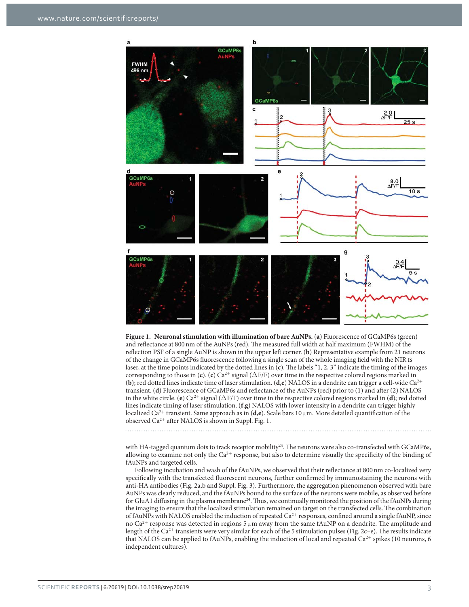

**Figure 1. Neuronal stimulation with illumination of bare AuNPs.** (**a**) Fluorescence of GCaMP6s (green) and reflectance at 800 nm of the AuNPs (red). The measured full width at half maximum (FWHM) of the reflection PSF of a single AuNP is shown in the upper left corner. (**b**) Representative example from 21 neurons of the change in GCaMP6s fluorescence following a single scan of the whole imaging field with the NIR fs laser, at the time points indicated by the dotted lines in (**c**). The labels "1, 2, 3" indicate the timing of the images corresponding to those in (**c**). (**c**)  $Ca^{2+}$  signal ( $\Delta$ F/F) over time in the respective colored regions marked in (**b**); red dotted lines indicate time of laser stimulation. (**d**,**e**) NALOS in a dendrite can trigger a cell-wide Ca2<sup>+</sup> transient. (**d**) Fluorescence of GCaMP6s and reflectance of the AuNPs (red) prior to (1) and after (2) NALOS in the white circle. (**e**)  $Ca^{2+}$  signal ( $\Delta F/F$ ) over time in the respective colored regions marked in (**d**); red dotted lines indicate timing of laser stimulation. (**f**,**g**) NALOS with lower intensity in a dendrite can trigger highly localized Ca<sup>2+</sup> transient. Same approach as in (**d**,**e**). Scale bars 10 μm. More detailed quantification of the observed  $Ca^{2+}$  after NALOS is shown in Suppl. Fig. 1.

with HA-tagged quantum dots to track receptor mobility<sup>24</sup>. The neurons were also co-transfected with GCaMP6s, allowing to examine not only the  $Ca^{2+}$  response, but also to determine visually the specificity of the binding of fAuNPs and targeted cells.

Following incubation and wash of the fAuNPs, we observed that their reflectance at 800 nm co-localized very specifically with the transfected fluorescent neurons, further confirmed by immunostaining the neurons with anti-HA antibodies (Fig. 2a,b and Suppl. Fig. 3). Furthermore, the aggregation phenomenon observed with bare AuNPs was clearly reduced, and the fAuNPs bound to the surface of the neurons were mobile, as observed before for GluA1 diffusing in the plasma membrane<sup>24</sup>. Thus, we continually monitored the position of the fAuNPs during the imaging to ensure that the localized stimulation remained on target on the transfected cells. The combination of fAuNPs with NALOS enabled the induction of repeated  $Ca^{2+}$  responses, confined around a single fAuNP, since no Ca<sup>2+</sup> response was detected in regions 5 μm away from the same fAuNP on a dendrite. The amplitude and length of the Ca<sup>2+</sup> transients were very similar for each of the 5 stimulation pulses (Fig. 2c–e). The results indicate that NALOS can be applied to fAuNPs, enabling the induction of local and repeated  $Ca^{2+}$  spikes (10 neurons, 6 independent cultures).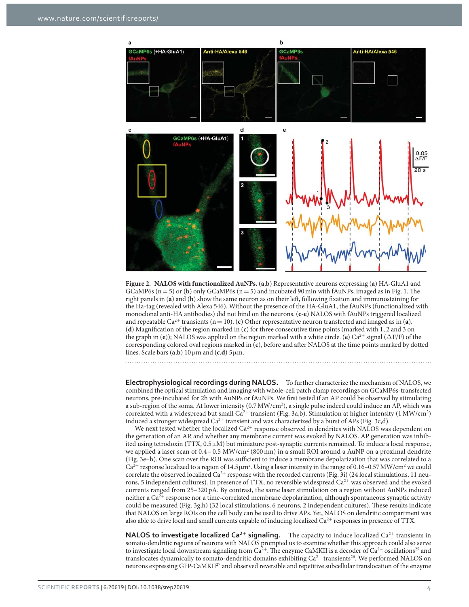

**Figure 2. NALOS with functionalized AuNPs.** (**a**,**b**) Representative neurons expressing (**a**) HA-GluA1 and GCaMP6s  $(n = 5)$  or (b) only GCaMP6s  $(n = 5)$  and incubated 90 min with fAuNPs, imaged as in Fig. 1. The right panels in (**a**) and (**b**) show the same neuron as on their left, following fixation and immunostaining for the Ha-tag (revealed with Alexa 546). Without the presence of the HA-GluA1, the fAuNPs (functionalized with monoclonal anti-HA antibodies) did not bind on the neurons. (**c-e**) NALOS with fAuNPs triggered localized and repeatable  $Ca^{2+}$  transients ( $n = 10$ ). (c) Other representative neuron transfected and imaged as in (a). (**d**) Magnification of the region marked in (**c**) for three consecutive time points (marked with 1, 2 and 3 on the graph in (**e**)); NALOS was applied on the region marked with a white circle. (**e**) Ca<sup>2+</sup> signal (ΔF/F) of the corresponding colored oval regions marked in (**c**), before and after NALOS at the time points marked by dotted lines. Scale bars  $(a,b)$  10  $\mu$ m and  $(c,d)$  5  $\mu$ m.

**Electrophysiological recordings during NALOS.** To further characterize the mechanism of NALOS, we combined the optical stimulation and imaging with whole-cell patch clamp recordings on GCaMP6s-transfected neurons, pre-incubated for 2h with AuNPs or fAuNPs. We first tested if an AP could be observed by stimulating a sub-region of the soma. At lower intensity (0.7 MW/cm<sup>2</sup>), a single pulse indeed could induce an AP, which was correlated with a widespread but small  $Ca^{2+}$  transient (Fig. 3a,b). Stimulation at higher intensity (1 MW/cm<sup>2</sup>) induced a stronger widespread  $Ca^{2+}$  transient and was characterized by a burst of APs (Fig. 3c,d).

We next tested whether the localized  $Ca^{2+}$  response observed in dendrites with NALOS was dependent on the generation of an AP, and whether any membrane current was evoked by NALOS. AP generation was inhibited using tetrodoxin (TTX,  $0.5 \mu$ M) but miniature post-synaptic currents remained. To induce a local response, we applied a laser scan of 0.4 – 0.5 MW/cm<sup>2</sup> (800 nm) in a small ROI around a AuNP on a proximal dendrite (Fig. 3e–h). One scan over the ROI was sufficient to induce a membrane depolarization that was correlated to a  $Ca^{2+}$  response localized to a region of 14.5  $\mu$ m<sup>2</sup>. Using a laser intensity in the range of 0.16–0.57 MW/cm<sup>2</sup> we could correlate the observed localized  $Ca^{2+}$  response with the recorded currents (Fig. 3i) (24 local stimulations, 11 neurons, 5 independent cultures). In presence of TTX, no reversible widespread  $Ca<sup>2+</sup>$  was observed and the evoked currents ranged from 25–320 pA. By contrast, the same laser stimulation on a region without AuNPs induced neither a Ca<sup>2+</sup> response nor a time-correlated membrane depolarization, although spontaneous synaptic activity could be measured (Fig. 3g,h) (32 local stimulations, 6 neurons, 2 independent cultures). These results indicate that NALOS on large ROIs on the cell body can be used to drive APs. Yet, NALOS on dendritic compartment was also able to drive local and small currents capable of inducing localized  $Ca^{2+}$  responses in presence of TTX.

**NALOS to investigate localized Ca<sup>2+</sup> signaling.** The capacity to induce localized Ca<sup>2+</sup> transients in somato-dendritic regions of neurons with NALOS prompted us to examine whether this approach could also serve to investigate local downstream signaling from  $Ca^{2+}$ . The enzyme CaMKII is a decoder of  $Ca^{2+}$  oscillations<sup>25</sup> and translocates dynamically to somato-dendritic domains exhibiting  $Ca^{2+}$  transients<sup>26</sup>. We performed NALOS on neurons expressing GFP-CaMKII27 and observed reversible and repetitive subcellular translocation of the enzyme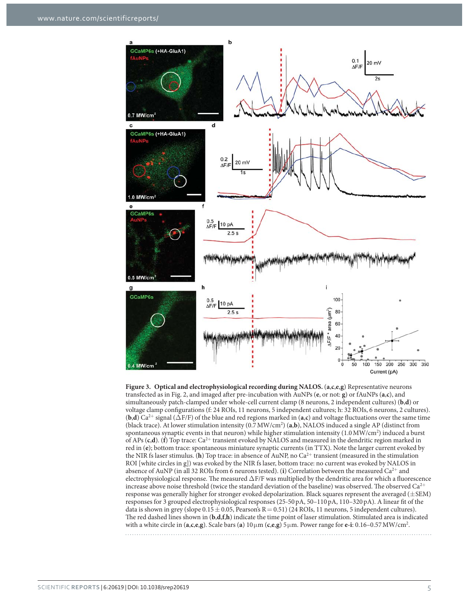

**Figure 3. Optical and electrophysiological recording during NALOS.** (**a**,**c**,**e**,**g**) Representative neurons transfected as in Fig. 2, and imaged after pre-incubation with AuNPs (**e**, or not: **g**) or fAuNPs (**a**,**c**), and simultaneously patch-clamped under whole-cell current clamp (8 neurons, 2 independent cultures) (**b**,**d**) or voltage clamp configurations (f: 24 ROIs, 11 neurons, 5 independent cultures; h: 32 ROIs, 6 neurons, 2 cultures). (**b**,**d**) Ca2<sup>+</sup> signal (Δ F/F) of the blue and red regions marked in (**a**,**c**) and voltage fluctuations over the same time (black trace). At lower stimulation intensity (0.7 MW/cm2 ) (**a**,**b**), NALOS induced a single AP (distinct from spontaneous synaptic events in that neuron) while higher stimulation intensity (1.0 MW/cm<sup>2</sup>) induced a burst of APs (**c**,**d**). (**f**) Top trace: Ca2<sup>+</sup> transient evoked by NALOS and measured in the dendritic region marked in red in (**e**); bottom trace: spontaneous miniature synaptic currents (in TTX). Note the larger current evoked by the NIR fs laser stimulus. (**h**) Top trace: in absence of AuNP, no Ca<sup>2+</sup> transient (measured in the stimulation ROI [white circles in g]) was evoked by the NIR fs laser, bottom trace: no current was evoked by NALOS in absence of AuNP (in all 32 ROIs from 6 neurons tested). (**i**) Correlation between the measured Ca2<sup>+</sup> and electrophysiological response. The measured Δ F/F was multiplied by the dendritic area for which a fluorescence increase above noise threshold (twice the standard deviation of the baseline) was observed. The observed  $Ca^{2+}$ response was generally higher for stronger evoked depolarization. Black squares represent the averaged  $(\pm$  SEM) responses for 3 grouped electrophysiological responses (25-50 pA, 50–110 pA, 110–320 pA). A linear fit of the data is shown in grey (slope  $0.15 \pm 0.05$ , Pearson's R = 0.51) (24 ROIs, 11 neurons, 5 independent cultures). The red dashed lines shown in (**b**,**d**,**f**,**h**) indicate the time point of laser stimulation. Stimulated area is indicated with a white circle in  $(a, c, e, g)$ . Scale bars  $(a) 10 \mu m$   $(c, e, g) 5 \mu m$ . Power range for  $e$ -i: 0.16–0.57 MW/cm<sup>2</sup>.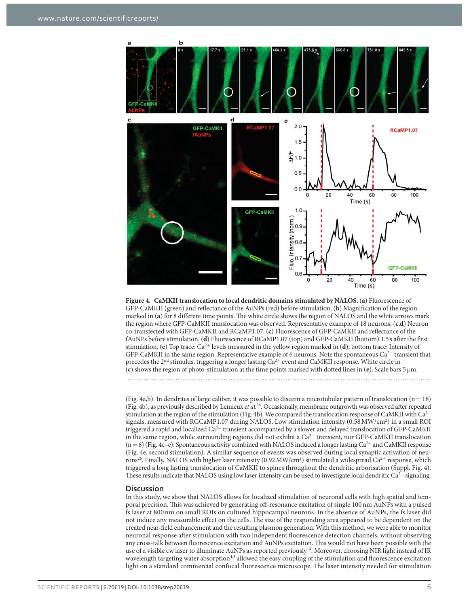

**Figure 4. CaMKII translocation to local dendritic domains stimulated by NALOS.** (**a**) Fluorescence of GFP-CaMKII (green) and reflectance of the AuNPs (red) before stimulation. (**b**) Magnification of the region marked in (**a**) for 8 different time points. The white circle shows the region of NALOS and the white arrows mark the region where GFP-CaMKII translocation was observed. Representative example of 18 neurons. (**c**,**d**) Neuron co-transfected with GFP-CaMKII and RCaMP1.07. (**c**) Fluorescence of GFP-CaMKII and reflectance of the fAuNPs before stimulation. (**d**) Fluorescence of RCaMP1.07 (top) and GFP-CaMKII (bottom) 1.5 s after the first stimulation. (**e**) Top trace: Ca2<sup>+</sup> levels measured in the yellow region marked in (**d**); bottom trace: Intensity of GFP-CaMKII in the same region. Representative example of 6 neurons. Note the spontaneous  $Ca^{2+}$  transient that precedes the 2nd stimulus, triggering a longer lasting Ca2<sup>+</sup> event and CaMKII response. White circle in (**c**) shows the region of photo-stimulation at the time points marked with dotted lines in (**e**). Scale bars 5 μ m.

(Fig. 4a,b). In dendrites of large caliber, it was possible to discern a microtubular pattern of translocation ( $n = 18$ ) (Fig. 4b), as previously described by Lemieux *et al.*26. Occasionally, membrane outgrowth was observed after repeated stimulation at the region of the stimulation (Fig. 4b). We compared the translocation response of CaMKII with  $Ca^{2+}$ signals, measured with RGCaMP1.07 during NALOS. Low stimulation intensity (0.58 MW/cm<sup>2</sup>) in a small ROI triggered a rapid and localized Ca<sup>2+</sup> transient accompanied by a slower and delayed translocation of GFP-CaMKII in the same region, while surrounding regions did not exhibit a  $Ca^{2+}$  transient, nor GFP-CaMKII translocation  $(n=6)$  (Fig. 4c–e). Spontaneous activity combined with NALOS induced a longer lasting Ca<sup>2+</sup> and CaMKII response (Fig. 4e, second stimulation). A similar sequence of events was observed during local synaptic activation of neurons<sup>26</sup>. Finally, NALOS with higher laser intensity (0.92 MW/cm<sup>2</sup>) stimulated a widespread Ca<sup>2+</sup> response, which triggered a long lasting translocation of CaMKII to spines throughout the dendritic arborisation (Suppl. Fig. 4). These results indicate that NALOS using low laser intensity can be used to investigate local dendritic  $Ca^{2+}$  signaling.

#### **Discussion**

In this study, we show that NALOS allows for localized stimulation of neuronal cells with high spatial and temporal precision. This was achieved by generating off-resonance excitation of single 100 nm AuNPs with a pulsed fs laser at 800 nm on small ROIs on cultured hippocampal neurons. In the absence of AuNPs, the fs laser did not induce any measurable effect on the cells. The size of the responding area appeared to be dependent on the created near-field enhancement and the resulting plasmon generation. With this method, we were able to monitor neuronal response after stimulation with two independent fluorescence detection channels, without observing any cross-talk between fluorescence excitation and AuNPs excitation. This would not have been possible with the use of a visible cw laser to illuminate AuNPs as reported previously<sup>14</sup>. Moreover, choosing NIR light instead of IR wavelength targeting water absorption<sup>4,5</sup> allowed the easy coupling of the stimulation and fluorescence excitation light on a standard commercial confocal fluorescence microscope. The laser intensity needed for stimulation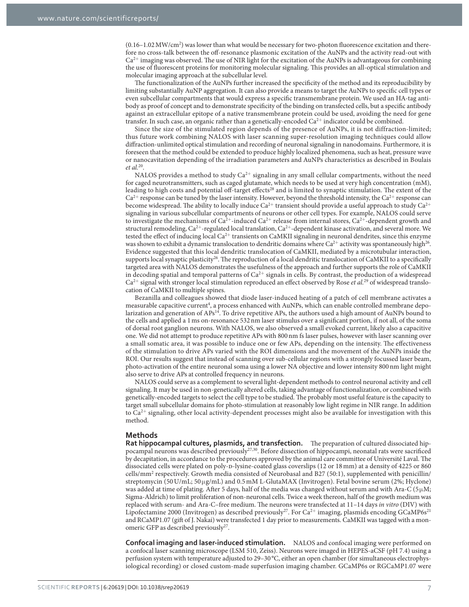(0.16-1.02 MW/cm<sup>2</sup>) was lower than what would be necessary for two-photon fluorescence excitation and therefore no cross-talk between the off-resonance plasmonic excitation of the AuNPs and the activity read-out with  $Ca<sup>2+</sup>$  imaging was observed. The use of NIR light for the excitation of the AuNPs is advantageous for combining the use of fluorescent proteins for monitoring molecular signaling. This provides an all-optical stimulation and molecular imaging approach at the subcellular level.

The functionalization of the AuNPs further increased the specificity of the method and its reproducibility by limiting substantially AuNP aggregation. It can also provide a means to target the AuNPs to specific cell types or even subcellular compartments that would express a specific transmembrane protein. We used an HA-tag antibody as proof of concept and to demonstrate specificity of the binding on transfected cells, but a specific antibody against an extracellular epitope of a native transmembrane protein could be used, avoiding the need for gene transfer. In such case, an organic rather than a genetically-encoded Ca<sup>2+</sup> indicator could be combined.

Since the size of the stimulated region depends of the presence of AuNPs, it is not diffraction-limited; thus future work combining NALOS with laser scanning super-resolution imaging techniques could allow diffraction-unlimited optical stimulation and recording of neuronal signaling in nanodomains. Furthermore, it is foreseen that the method could be extended to produce highly localized phenomena, such as heat, pressure wave or nanocavitation depending of the irradiation parameters and AuNPs characteristics as described in Boulais *et al.*20.

NALOS provides a method to study  $Ca^{2+}$  signaling in any small cellular compartments, without the need for caged neurotransmitters, such as caged glutamate, which needs to be used at very high concentration (mM), leading to high costs and potential off-target effects28 and is limited to synaptic stimulation. The extent of the  $Ca^{2+}$  response can be tuned by the laser intensity. However, beyond the threshold intensity, the  $Ca^{2+}$  response can become widespread. The ability to locally induce  $Ca^{2+}$  transient should provide a useful approach to study  $Ca^{2+}$ signaling in various subcellular compartments of neurons or other cell types. For example, NALOS could serve to investigate the mechanisms of  $Ca^{2+}$ -induced  $Ca^{2+}$  release from internal stores,  $Ca^{2+}$ -dependent growth and structural remodeling,  $Ca^{2+}$ -regulated local translation,  $Ca^{2+}$ -dependent kinase activation, and several more. We tested the effect of inducing local Ca<sup>2+</sup> transients on CaMKII signaling in neuronal dendrites, since this enzyme was shown to exhibit a dynamic translocation to dendritic domains where  $Ca^{2+}$  activity was spontaneously high<sup>26</sup>. Evidence suggested that this local dendritic translocation of CaMKII, mediated by a microtubular interaction, supports local synaptic plasticity<sup>26</sup>. The reproduction of a local dendritic translocation of CaMKII to a specifically targeted area with NALOS demonstrates the usefulness of the approach and further supports the role of CaMKII in decoding spatial and temporal patterns of  $Ca^{2+}$  signals in cells. By contrast, the production of a widespread Ca2<sup>+</sup> signal with stronger local stimulation reproduced an effect observed by Rose *et al.*29 of widespread translocation of CaMKII to multiple spines.

Bezanilla and colleagues showed that diode laser-induced heating of a patch of cell membrane activates a measurable capacitive current<sup>4</sup>, a process enhanced with AuNPs, which can enable controlled membrane depolarization and generation of APs<sup>14</sup>. To drive repetitive APs, the authors used a high amount of AuNPs bound to the cells and applied a 1 ms on-resonance 532 nm laser stimulus over a significant portion, if not all, of the soma of dorsal root ganglion neurons. With NALOS, we also observed a small evoked current, likely also a capacitive one. We did not attempt to produce repetitive APs with 800 nm fs laser pulses, however with laser scanning over a small somatic area, it was possible to induce one or few APs, depending on the intensity. The effectiveness of the stimulation to drive APs varied with the ROI dimensions and the movement of the AuNPs inside the ROI. Our results suggest that instead of scanning over sub-cellular regions with a strongly focussed laser beam, photo-activation of the entire neuronal soma using a lower NA objective and lower intensity 800 nm light might also serve to drive APs at controlled frequency in neurons.

NALOS could serve as a complement to several light-dependent methods to control neuronal activity and cell signaling. It may be used in non-genetically altered cells, taking advantage of functionalization, or combined with genetically-encoded targets to select the cell type to be studied. The probably most useful feature is the capacity to target small subcellular domains for photo-stimulation at reasonably low light regime in NIR range. In addition to  $Ca<sup>2+</sup>$  signaling, other local activity-dependent processes might also be available for investigation with this method.

#### **Methods**

**Rat hippocampal cultures, plasmids, and transfection.** The preparation of cultured dissociated hippocampal neurons was described previously27,30. Before dissection of hippocampi, neonatal rats were sacrificed by decapitation, in accordance to the procedures approved by the animal care committee of Université Laval. The dissociated cells were plated on poly-p-lysine-coated glass coverslips (12 or 18 mm) at a density of 4225 or 860 cells/mm<sup>2</sup> respectively. Growth media consisted of Neurobasal and B27 (50:1), supplemented with penicillin/ streptomycin (50 U/mL; 50 μg/mL) and 0.5 mM L-GlutaMAX (Invitrogen). Fetal bovine serum (2%; Hyclone) was added at time of plating. After 5 days, half of the media was changed without serum and with Ara-C ( $5 \mu$ M; Sigma-Aldrich) to limit proliferation of non-neuronal cells. Twice a week thereon, half of the growth medium was replaced with serum- and Ara-C–free medium. The neurons were transfected at 11–14 days *in vitro* (DIV) with Lipofectamine 2000 (Invitrogen) as described previously<sup>27</sup>. For Ca<sup>2+</sup> imaging, plasmids encoding GCaMP6s<sup>21</sup> and RCaMP1.07 (gift of J. Nakai) were transfected 1 day prior to measurements. CaMKII was tagged with a monomeric GFP as described previously<sup>27</sup>.

**Confocal imaging and laser-induced stimulation.** NALOS and confocal imaging were performed on a confocal laser scanning microscope (LSM 510, Zeiss). Neurons were imaged in HEPES-aCSF (pH 7.4) using a perfusion system with temperature adjusted to 29–30 °C, either an open chamber (for simultaneous electrophysiological recording) or closed custom-made superfusion imaging chamber. GCaMP6s or RGCaMP1.07 were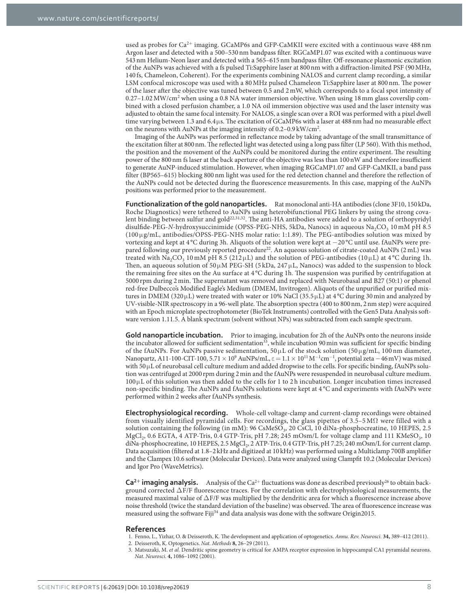used as probes for  $Ca^{2+}$  imaging. GCaMP6s and GFP-CaMKII were excited with a continuous wave 488 nm Argon laser and detected with a 500–530 nm bandpass filter. RGCaMP1.07 was excited with a continuous wave 543 nm Helium-Neon laser and detected with a 565–615 nm bandpass filter. Off-resonance plasmonic excitation of the AuNPs was achieved with a fs pulsed Ti:Sapphire laser at 800 nm with a diffraction-limited PSF (90 MHz, 140 fs, Chameleon, Coherent). For the experiments combining NALOS and current clamp recording, a similar LSM confocal microscope was used with a 80 MHz pulsed Chameleon Ti:Sapphire laser at 800 nm. The power of the laser after the objective was tuned between 0.5 and 2 mW, which corresponds to a focal spot intensity of 0.27-1.02 MW/cm<sup>2</sup> when using a 0.8 NA water immersion objective. When using 18 mm glass coverslip combined with a closed perfusion chamber, a 1.0 NA oil immersion objective was used and the laser intensity was adjusted to obtain the same focal intensity. For NALOS, a single scan over a ROI was performed with a pixel dwell time varying between 1.3 and  $6.4 \mu s$ . The excitation of GCaMP6s with a laser at 488 nm had no measurable effect on the neurons with AuNPs at the imaging intensity of 0.2-0.9 kW/cm<sup>2</sup>.

Imaging of the AuNPs was performed in reflectance mode by taking advantage of the small transmittance of the excitation filter at 800 nm. The reflected light was detected using a long pass filter (LP 560). With this method, the position and the movement of the AuNPs could be monitored during the entire experiment. The resulting power of the 800 nm fs laser at the back aperture of the objective was less than 100 nW and therefore insufficient to generate AuNP-induced stimulation. However, when imaging RGCaMP1.07 and GFP-CaMKII, a band pass filter (BP565–615) blocking 800 nm light was used for the red detection channel and therefore the reflection of the AuNPs could not be detected during the fluorescence measurements. In this case, mapping of the AuNPs positions was performed prior to the measurement.

**Functionalization of the gold nanoparticles.** Rat monoclonal anti-HA antibodies (clone 3F10, 150 kDa, Roche Diagnostics) were tethered to AuNPs using heterobifunctional PEG linkers by using the strong covalent binding between sulfur and gold<sup>22,31,32</sup>. The anti-HA antibodies were added to a solution of orthopyridyl disulfide-PEG-*N*-hydroxysuccinimide (OPSS-PEG-NHS, 5kDa, Nanocs) in aqueous Na<sub>2</sub>CO<sub>3</sub> 10 mM pH 8.5 (100 μ g/mL, antibodies/OPSS-PEG-NHS molar ratio: 1:1.89). The PEG-antibodies solution was mixed by vortexing and kept at 4 °C during 3h. Aliquots of the solution were kept at − 20 °C until use. fAuNPs were prepared following our previously reported procedure<sup>22</sup>. An aqueous solution of citrate-coated AuNPs (2 mL) was treated with Na<sub>2</sub>CO<sub>3</sub> 10 mM pH 8.5 (212 µ L) and the solution of PEG-antibodies (10 µ L) at 4 °C during 1h. Then, an aqueous solution of 50  $\mu$ M PEG-SH (5 kDa, 247  $\mu$ L, Nanocs) was added to the suspension to block the remaining free sites on the Au surface at 4 °C during 1h. The suspension was purified by centrifugation at 5000 rpm during 2 min. The supernatant was removed and replaced with Neurobasal and B27 (50:1) or phenol red-free Dulbecco's Modified Eagle's Medium (DMEM, Invitrogen). Aliquots of the unpurified or purified mixtures in DMEM (320μL) were treated with water or 10% NaCl (35.5μL) at 4°C during 30 min and analyzed by UV-visible-NIR spectroscopy in a 96-well plate. The absorption spectra (400 to 800 nm, 2 nm step) were acquired with an Epoch microplate spectrophotometer (BioTek Instruments) controlled with the Gen5 Data Analysis software version 1.11.5. A blank spectrum (solvent without NPs) was subtracted from each sample spectrum.

**Gold nanoparticle incubation.** Prior to imaging, incubation for 2h of the AuNPs onto the neurons inside the incubator allowed for sufficient sedimentation<sup>33</sup>, while incubation 90 min was sufficient for specific binding of the fAuNPs. For AuNPs passive sedimentation,  $50 \mu L$  of the stock solution ( $50 \mu g/mL$ , 100 nm diameter, Nanopartz, A11-100-CIT-100, 5.71  $\times$  10<sup>9</sup> AuNPs/mL,  $\varepsilon = 1.1 \times 10^{11}$  M<sup>-1</sup>cm<sup>-1</sup>, potential zeta  $-46$  mV) was mixed with 50 μL of neurobasal cell culture medium and added dropwise to the cells. For specific binding, fAuNPs solution was centrifuged at 2000 rpm during 2 min and the fAuNPs were resuspended in neurobasal culture medium.  $100 \mu$ L of this solution was then added to the cells for 1 to 2 h incubation. Longer incubation times increased non-specific binding. The AuNPs and fAuNPs solutions were kept at 4 °C and experiments with fAuNPs were performed within 2 weeks after fAuNPs synthesis.

**Electrophysiological recording.** Whole-cell voltage-clamp and current-clamp recordings were obtained from visually identified pyramidal cells. For recordings, the glass pipettes of 3.5–5 M $\Omega$  were filled with a solution containing the following (in mM): 96 CsMeSO<sub>3</sub>, 20 CsCl, 10 diNa-phosphocreatine, 10 HEPES, 2.5 MgCl<sub>2</sub>, 0.6 EGTA, 4 ATP-Tris, 0.4 GTP-Tris, pH 7.28; 245 mOsm/L for voltage clamp and 111 KMeSO<sub>3</sub>, 10 diNa-phosphocreatine, 10 HEPES, 2.5 MgCl<sub>2</sub>, 2 ATP-Tris, 0.4 GTP-Tris, pH 7.25; 240 mOsm/L for current clamp. Data acquisition (filtered at 1.8–2 kHz and digitized at 10 kHz) was performed using a Multiclamp 700B amplifier and the Clampex 10.6 software (Molecular Devices). Data were analyzed using Clampfit 10.2 (Molecular Devices) and Igor Pro (WaveMetrics).

 $Ca<sup>2+</sup>$  **imaging analysis.** Analysis of the Ca<sup>2+</sup> fluctuations was done as described previously<sup>26</sup> to obtain background corrected  $\Delta F/F$  fluorescence traces. For the correlation with electrophysiological measurements, the measured maximal value of Δ F/F was multiplied by the dendritic area for which a fluorescence increase above noise threshold (twice the standard deviation of the baseline) was observed. The area of fluorescence increase was measured using the software Fiji<sup>34</sup> and data analysis was done with the software Origin2015.

#### **References**

- 1. Fenno, L., Yizhar, O. & Deisseroth, K. The development and application of optogenetics. *Annu. Rev. Neurosci.* **34,** 389–412 (2011).
- 2. Deisseroth, K. Optogenetics. *Nat. Methods* **8,** 26–29 (2011).
- 3. Matsuzaki, M. *et al.* Dendritic spine geometry is critical for AMPA receptor expression in hippocampal CA1 pyramidal neurons. *Nat. Neurosci.* **4,** 1086–1092 (2001).